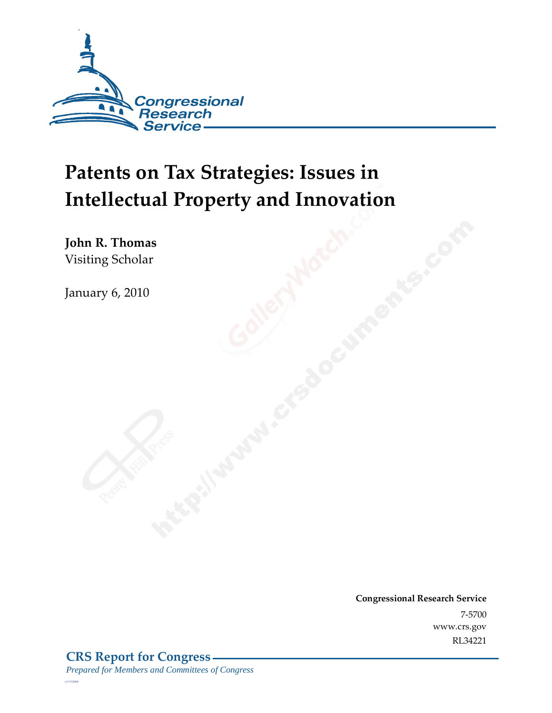

# **Patents on Tax Strategies: Issues in Intellectual Property and Innovation**

**John R. Thomas**  Visiting Scholar

January 6, 2010

**Congressional Research Service** 7-5700 www.crs.gov RL34221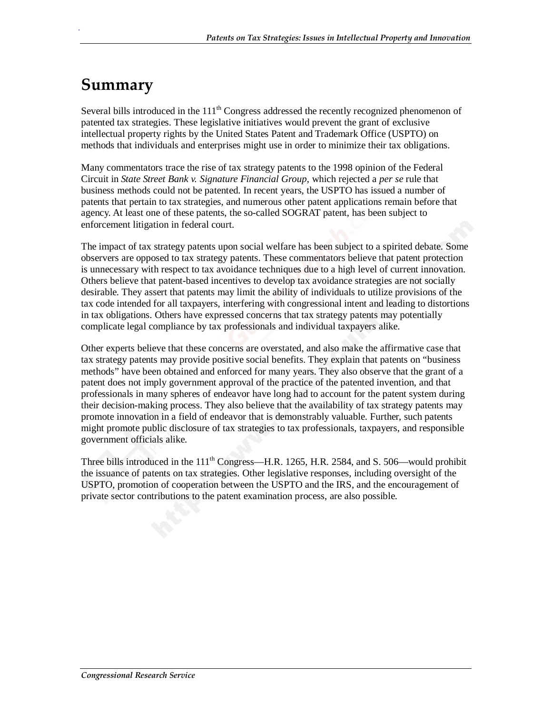# **Summary**

.

Several bills introduced in the  $111<sup>th</sup>$  Congress addressed the recently recognized phenomenon of patented tax strategies. These legislative initiatives would prevent the grant of exclusive intellectual property rights by the United States Patent and Trademark Office (USPTO) on methods that individuals and enterprises might use in order to minimize their tax obligations.

Many commentators trace the rise of tax strategy patents to the 1998 opinion of the Federal Circuit in *State Street Bank v. Signature Financial Group*, which rejected a *per se* rule that business methods could not be patented. In recent years, the USPTO has issued a number of patents that pertain to tax strategies, and numerous other patent applications remain before that agency. At least one of these patents, the so-called SOGRAT patent, has been subject to enforcement litigation in federal court.

The impact of tax strategy patents upon social welfare has been subject to a spirited debate. Some observers are opposed to tax strategy patents. These commentators believe that patent protection is unnecessary with respect to tax avoidance techniques due to a high level of current innovation. Others believe that patent-based incentives to develop tax avoidance strategies are not socially desirable. They assert that patents may limit the ability of individuals to utilize provisions of the tax code intended for all taxpayers, interfering with congressional intent and leading to distortions in tax obligations. Others have expressed concerns that tax strategy patents may potentially complicate legal compliance by tax professionals and individual taxpayers alike.

Other experts believe that these concerns are overstated, and also make the affirmative case that tax strategy patents may provide positive social benefits. They explain that patents on "business methods" have been obtained and enforced for many years. They also observe that the grant of a patent does not imply government approval of the practice of the patented invention, and that professionals in many spheres of endeavor have long had to account for the patent system during their decision-making process. They also believe that the availability of tax strategy patents may promote innovation in a field of endeavor that is demonstrably valuable. Further, such patents might promote public disclosure of tax strategies to tax professionals, taxpayers, and responsible government officials alike.

Three bills introduced in the  $111<sup>th</sup>$  Congress—H.R. 1265, H.R. 2584, and S. 506—would prohibit the issuance of patents on tax strategies. Other legislative responses, including oversight of the USPTO, promotion of cooperation between the USPTO and the IRS, and the encouragement of private sector contributions to the patent examination process, are also possible.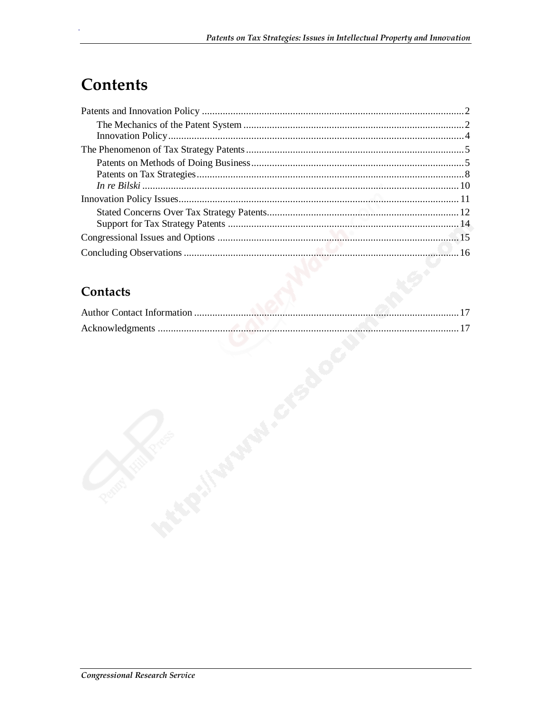# **Contents**

#### Contacts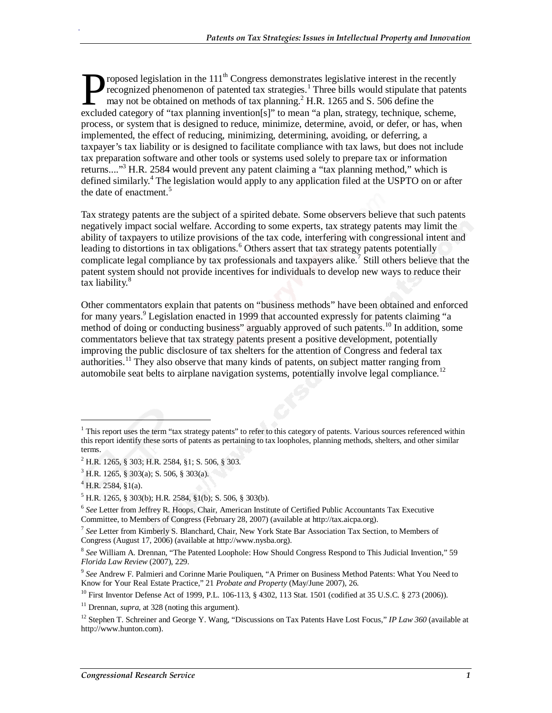roposed legislation in the  $111<sup>th</sup>$  Congress demonstrates legislative interest in the recently recognized phenomenon of patented tax strategies.<sup>1</sup> Three bills would stipulate that patents may not be obtained on methods of tax planning. $^{2}$  H.R. 1265 and S. 506 define the roposed legislation in the 111<sup>th</sup> Congress demonstrates legislative interest in the recently recognized phenomenon of patented tax strategies.<sup>1</sup> Three bills would stipulate that patent may not be obtained on methods of t process, or system that is designed to reduce, minimize, determine, avoid, or defer, or has, when implemented, the effect of reducing, minimizing, determining, avoiding, or deferring, a taxpayer's tax liability or is designed to facilitate compliance with tax laws, but does not include tax preparation software and other tools or systems used solely to prepare tax or information returns...."<sup>3</sup> H.R. 2584 would prevent any patent claiming a "tax planning method," which is defined similarly.<sup>4</sup> The legislation would apply to any application filed at the USPTO on or after the date of enactment.<sup>5</sup>

Tax strategy patents are the subject of a spirited debate. Some observers believe that such patents negatively impact social welfare. According to some experts, tax strategy patents may limit the ability of taxpayers to utilize provisions of the tax code, interfering with congressional intent and leading to distortions in tax obligations.<sup>6</sup> Others assert that tax strategy patents potentially complicate legal compliance by tax professionals and taxpayers alike.<sup>7</sup> Still others believe that the patent system should not provide incentives for individuals to develop new ways to reduce their tax liability.<sup>8</sup>

Other commentators explain that patents on "business methods" have been obtained and enforced for many years.<sup>9</sup> Legislation enacted in 1999 that accounted expressly for patents claiming "a method of doing or conducting business" arguably approved of such patents.10 In addition, some commentators believe that tax strategy patents present a positive development, potentially improving the public disclosure of tax shelters for the attention of Congress and federal tax authorities.<sup>11</sup> They also observe that many kinds of patents, on subject matter ranging from automobile seat belts to airplane navigation systems, potentially involve legal compliance.<sup>12</sup>

<u>.</u>

<sup>&</sup>lt;sup>1</sup> This report uses the term "tax strategy patents" to refer to this category of patents. Various sources referenced within this report identify these sorts of patents as pertaining to tax loopholes, planning methods, shelters, and other similar terms.

 $^{2}$  H.R. 1265, § 303; H.R. 2584, §1; S. 506, § 303.

<sup>3</sup> H.R. 1265, § 303(a); S. 506, § 303(a).

 $^{4}$  H.R. 2584, §1(a).

 $<sup>5</sup>$  H.R. 1265, § 303(b); H.R. 2584, §1(b); S. 506, § 303(b).</sup>

<sup>6</sup> *See* Letter from Jeffrey R. Hoops, Chair, American Institute of Certified Public Accountants Tax Executive Committee, to Members of Congress (February 28, 2007) (available at http://tax.aicpa.org).

<sup>7</sup> *See* Letter from Kimberly S. Blanchard, Chair, New York State Bar Association Tax Section, to Members of Congress (August 17, 2006) (available at http://www.nysba.org).

<sup>8</sup> *See* William A. Drennan, "The Patented Loophole: How Should Congress Respond to This Judicial Invention," 59 *Florida Law Review* (2007), 229.

<sup>9</sup> *See* Andrew F. Palmieri and Corinne Marie Pouliquen, "A Primer on Business Method Patents: What You Need to Know for Your Real Estate Practice," 21 *Probate and Property* (May/June 2007), 26.

<sup>&</sup>lt;sup>10</sup> First Inventor Defense Act of 1999, P.L. 106-113, § 4302, 113 Stat. 1501 (codified at 35 U.S.C. § 273 (2006)).

<sup>&</sup>lt;sup>11</sup> Drennan, *supra*, at 328 (noting this argument).

<sup>&</sup>lt;sup>12</sup> Stephen T. Schreiner and George Y. Wang, "Discussions on Tax Patents Have Lost Focus," *IP Law 360* (available at http://www.hunton.com).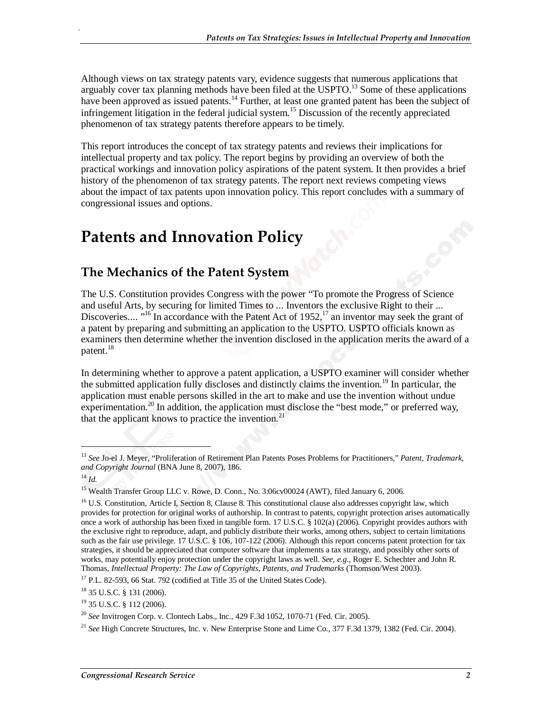Although views on tax strategy patents vary, evidence suggests that numerous applications that arguably cover tax planning methods have been filed at the USPTO.<sup>13</sup> Some of these applications have been approved as issued patents.<sup>14</sup> Further, at least one granted patent has been the subject of infringement litigation in the federal judicial system.<sup>15</sup> Discussion of the recently appreciated phenomenon of tax strategy patents therefore appears to be timely.

This report introduces the concept of tax strategy patents and reviews their implications for intellectual property and tax policy. The report begins by providing an overview of both the practical workings and innovation policy aspirations of the patent system. It then provides a brief history of the phenomenon of tax strategy patents. The report next reviews competing views about the impact of tax patents upon innovation policy. This report concludes with a summary of congressional issues and options.

## **Patents and Innovation Policy**

#### **The Mechanics of the Patent System**

The U.S. Constitution provides Congress with the power "To promote the Progress of Science and useful Arts, by securing for limited Times to ... Inventors the exclusive Right to their ... Discoveries....  $16$ <sup>16</sup> In accordance with the Patent Act of 1952,<sup>17</sup> an inventor may seek the grant of a patent by preparing and submitting an application to the USPTO. USPTO officials known as examiners then determine whether the invention disclosed in the application merits the award of a patent.<sup>18</sup>

In determining whether to approve a patent application, a USPTO examiner will consider whether the submitted application fully discloses and distinctly claims the invention.<sup>19</sup> In particular, the application must enable persons skilled in the art to make and use the invention without undue experimentation.<sup>20</sup> In addition, the application must disclose the "best mode," or preferred way, that the applicant knows to practice the invention. $21$ 

1

<sup>13</sup> *See* Jo-el J. Meyer, "Proliferation of Retirement Plan Patents Poses Problems for Practitioners," *Patent, Trademark, and Copyright Journal* (BNA June 8, 2007), 186.

 $^{14}$  *Id.* 

<sup>&</sup>lt;sup>15</sup> Wealth Transfer Group LLC v. Rowe, D. Conn., No. 3:06cv00024 (AWT), filed January 6, 2006.

<sup>&</sup>lt;sup>16</sup> U.S. Constitution, Article I, Section 8, Clause 8. This constitutional clause also addresses copyright law, which provides for protection for original works of authorship. In contrast to patents, copyright protection arises automatically once a work of authorship has been fixed in tangible form. 17 U.S.C. § 102(a) (2006). Copyright provides authors with the exclusive right to reproduce, adapt, and publicly distribute their works, among others, subject to certain limitations such as the fair use privilege. 17 U.S.C. § 106, 107-122 (2006). Although this report concerns patent protection for tax strategies, it should be appreciated that computer software that implements a tax strategy, and possibly other sorts of works, may potentially enjoy protection under the copyright laws as well. *See, e.g.,* Roger E. Schechter and John R. Thomas, *Intellectual Property: The Law of Copyrights, Patents, and Trademarks* (Thomson/West 2003). 17 P.L. 82-593, 66 Stat. 792 (codified at Title 35 of the United States Code).

<sup>18 35</sup> U.S.C. § 131 (2006).

<sup>19 35</sup> U.S.C. § 112 (2006).

<sup>20</sup> *See* Invitrogen Corp. v. Clontech Labs., Inc., 429 F.3d 1052, 1070-71 (Fed. Cir. 2005).

<sup>21</sup> *See* High Concrete Structures, Inc. v. New Enterprise Stone and Lime Co., 377 F.3d 1379, 1382 (Fed. Cir. 2004).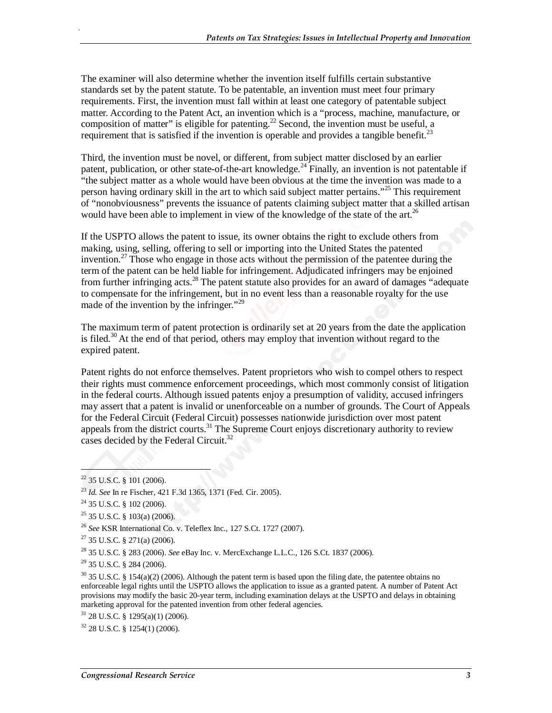The examiner will also determine whether the invention itself fulfills certain substantive standards set by the patent statute. To be patentable, an invention must meet four primary requirements. First, the invention must fall within at least one category of patentable subject matter. According to the Patent Act, an invention which is a "process, machine, manufacture, or composition of matter" is eligible for patenting.<sup>22</sup> Second, the invention must be useful, a requirement that is satisfied if the invention is operable and provides a tangible benefit.<sup>23</sup>

Third, the invention must be novel, or different, from subject matter disclosed by an earlier patent, publication, or other state-of-the-art knowledge.<sup>24</sup> Finally, an invention is not patentable if "the subject matter as a whole would have been obvious at the time the invention was made to a person having ordinary skill in the art to which said subject matter pertains."<sup>25</sup> This requirement of "nonobviousness" prevents the issuance of patents claiming subject matter that a skilled artisan would have been able to implement in view of the knowledge of the state of the art.<sup>26</sup>

If the USPTO allows the patent to issue, its owner obtains the right to exclude others from making, using, selling, offering to sell or importing into the United States the patented invention.<sup>27</sup> Those who engage in those acts without the permission of the patentee during the term of the patent can be held liable for infringement. Adjudicated infringers may be enjoined from further infringing acts.<sup>28</sup> The patent statute also provides for an award of damages "adequate" to compensate for the infringement, but in no event less than a reasonable royalty for the use made of the invention by the infringer."<sup>29</sup>

The maximum term of patent protection is ordinarily set at 20 years from the date the application is filed.<sup>30</sup> At the end of that period, others may employ that invention without regard to the expired patent.

Patent rights do not enforce themselves. Patent proprietors who wish to compel others to respect their rights must commence enforcement proceedings, which most commonly consist of litigation in the federal courts. Although issued patents enjoy a presumption of validity, accused infringers may assert that a patent is invalid or unenforceable on a number of grounds. The Court of Appeals for the Federal Circuit (Federal Circuit) possesses nationwide jurisdiction over most patent appeals from the district courts.<sup>31</sup> The Supreme Court enjoys discretionary authority to review cases decided by the Federal Circuit.<sup>32</sup>

1

 $22$  35 U.S.C. § 101 (2006).

<sup>23</sup> *Id. See* In re Fischer, 421 F.3d 1365, 1371 (Fed. Cir. 2005).

<sup>&</sup>lt;sup>24</sup> 35 U.S.C. § 102 (2006).

 $25$  35 U.S.C. § 103(a) (2006).

<sup>26</sup> *See* KSR International Co. v. Teleflex Inc., 127 S.Ct. 1727 (2007).

 $27$  35 U.S.C. § 271(a) (2006).

<sup>28 35</sup> U.S.C. § 283 (2006). *See* eBay Inc. v. MercExchange L.L.C., 126 S.Ct. 1837 (2006).

<sup>29 35</sup> U.S.C. § 284 (2006).

 $30$  35 U.S.C. § 154(a)(2) (2006). Although the patent term is based upon the filing date, the patentee obtains no enforceable legal rights until the USPTO allows the application to issue as a granted patent. A number of Patent Act provisions may modify the basic 20-year term, including examination delays at the USPTO and delays in obtaining marketing approval for the patented invention from other federal agencies.

 $31$  28 U.S.C. § 1295(a)(1) (2006).

<sup>32 28</sup> U.S.C. § 1254(1) (2006).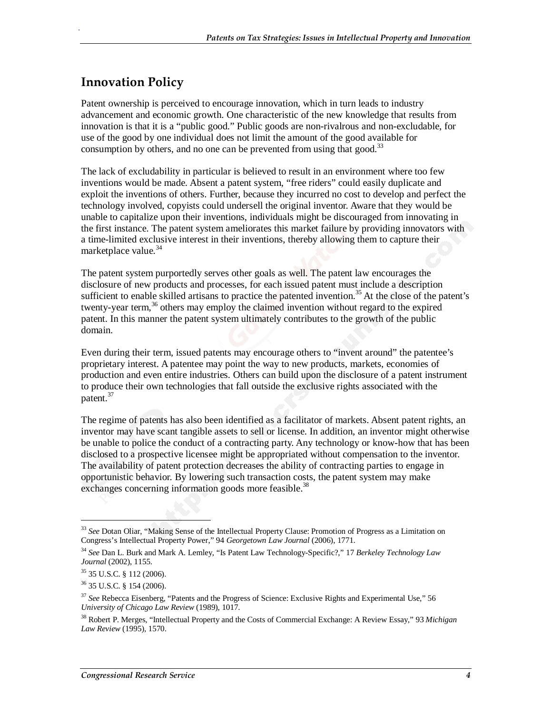#### **Innovation Policy**

.

Patent ownership is perceived to encourage innovation, which in turn leads to industry advancement and economic growth. One characteristic of the new knowledge that results from innovation is that it is a "public good." Public goods are non-rivalrous and non-excludable, for use of the good by one individual does not limit the amount of the good available for consumption by others, and no one can be prevented from using that good.<sup>33</sup>

The lack of excludability in particular is believed to result in an environment where too few inventions would be made. Absent a patent system, "free riders" could easily duplicate and exploit the inventions of others. Further, because they incurred no cost to develop and perfect the technology involved, copyists could undersell the original inventor. Aware that they would be unable to capitalize upon their inventions, individuals might be discouraged from innovating in the first instance. The patent system ameliorates this market failure by providing innovators with a time-limited exclusive interest in their inventions, thereby allowing them to capture their marketplace value.<sup>34</sup>

The patent system purportedly serves other goals as well. The patent law encourages the disclosure of new products and processes, for each issued patent must include a description sufficient to enable skilled artisans to practice the patented invention.<sup>35</sup> At the close of the patent's twenty-year term,<sup>36</sup> others may employ the claimed invention without regard to the expired patent. In this manner the patent system ultimately contributes to the growth of the public domain.

Even during their term, issued patents may encourage others to "invent around" the patentee's proprietary interest. A patentee may point the way to new products, markets, economies of production and even entire industries. Others can build upon the disclosure of a patent instrument to produce their own technologies that fall outside the exclusive rights associated with the patent.<sup>37</sup>

The regime of patents has also been identified as a facilitator of markets. Absent patent rights, an inventor may have scant tangible assets to sell or license. In addition, an inventor might otherwise be unable to police the conduct of a contracting party. Any technology or know-how that has been disclosed to a prospective licensee might be appropriated without compensation to the inventor. The availability of patent protection decreases the ability of contracting parties to engage in opportunistic behavior. By lowering such transaction costs, the patent system may make exchanges concerning information goods more feasible.<sup>38</sup>

1

<sup>33</sup> *See* Dotan Oliar, "Making Sense of the Intellectual Property Clause: Promotion of Progress as a Limitation on Congress's Intellectual Property Power," 94 *Georgetown Law Journal* (2006), 1771.

<sup>34</sup> *See* Dan L. Burk and Mark A. Lemley, "Is Patent Law Technology-Specific?," 17 *Berkeley Technology Law Journal* (2002), 1155.

<sup>35 35</sup> U.S.C. § 112 (2006).

<sup>36 35</sup> U.S.C. § 154 (2006).

<sup>37</sup> *See* Rebecca Eisenberg, "Patents and the Progress of Science: Exclusive Rights and Experimental Use," 56 *University of Chicago Law Review* (1989), 1017.

<sup>38</sup> Robert P. Merges, "Intellectual Property and the Costs of Commercial Exchange: A Review Essay," 93 *Michigan Law Review* (1995), 1570.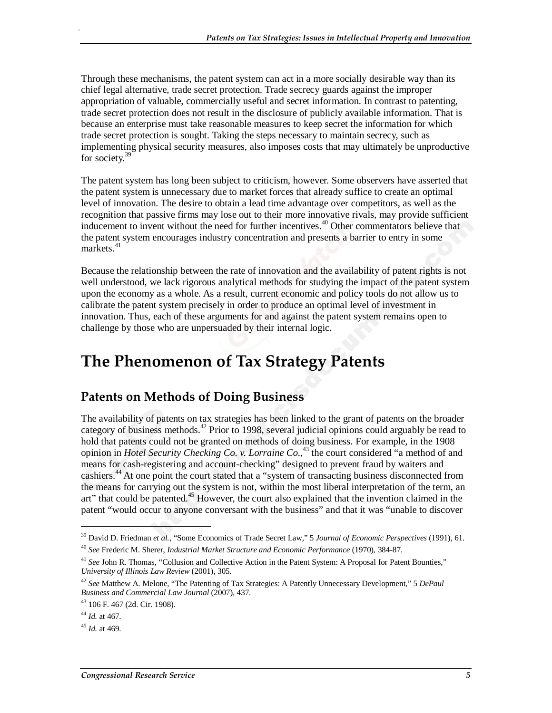Through these mechanisms, the patent system can act in a more socially desirable way than its chief legal alternative, trade secret protection. Trade secrecy guards against the improper appropriation of valuable, commercially useful and secret information. In contrast to patenting, trade secret protection does not result in the disclosure of publicly available information. That is because an enterprise must take reasonable measures to keep secret the information for which trade secret protection is sought. Taking the steps necessary to maintain secrecy, such as implementing physical security measures, also imposes costs that may ultimately be unproductive for society.<sup>39</sup>

The patent system has long been subject to criticism, however. Some observers have asserted that the patent system is unnecessary due to market forces that already suffice to create an optimal level of innovation. The desire to obtain a lead time advantage over competitors, as well as the recognition that passive firms may lose out to their more innovative rivals, may provide sufficient inducement to invent without the need for further incentives.<sup>40</sup> Other commentators believe that the patent system encourages industry concentration and presents a barrier to entry in some  $markets.<sup>41</sup>$ 

Because the relationship between the rate of innovation and the availability of patent rights is not well understood, we lack rigorous analytical methods for studying the impact of the patent system upon the economy as a whole. As a result, current economic and policy tools do not allow us to calibrate the patent system precisely in order to produce an optimal level of investment in innovation. Thus, each of these arguments for and against the patent system remains open to challenge by those who are unpersuaded by their internal logic.

# **The Phenomenon of Tax Strategy Patents**

#### **Patents on Methods of Doing Business**

The availability of patents on tax strategies has been linked to the grant of patents on the broader category of business methods.<sup>42</sup> Prior to 1998, several judicial opinions could arguably be read to hold that patents could not be granted on methods of doing business. For example, in the 1908 opinion in *Hotel Security Checking Co. v. Lorraine Co.*, 43 the court considered "a method of and means for cash-registering and account-checking" designed to prevent fraud by waiters and cashiers.<sup>44</sup> At one point the court stated that a "system of transacting business disconnected from the means for carrying out the system is not, within the most liberal interpretation of the term, an art" that could be patented.<sup>45</sup> However, the court also explained that the invention claimed in the patent "would occur to anyone conversant with the business" and that it was "unable to discover

<u>.</u>

<sup>39</sup> David D. Friedman *et al.*, "Some Economics of Trade Secret Law," 5 *Journal of Economic Perspectives* (1991), 61. <sup>40</sup> *See* Frederic M. Sherer, *Industrial Market Structure and Economic Performance* (1970), 384-87.

<sup>&</sup>lt;sup>41</sup> See John R. Thomas, "Collusion and Collective Action in the Patent System: A Proposal for Patent Bounties," *University of Illinois Law Review* (2001), 305.

<sup>42</sup> *See* Matthew A. Melone, "The Patenting of Tax Strategies: A Patently Unnecessary Development," 5 *DePaul Business and Commercial Law Journal* (2007), 437.

<sup>43 106</sup> F. 467 (2d. Cir. 1908).

<sup>44</sup> *Id.* at 467.

<sup>45</sup> *Id.* at 469.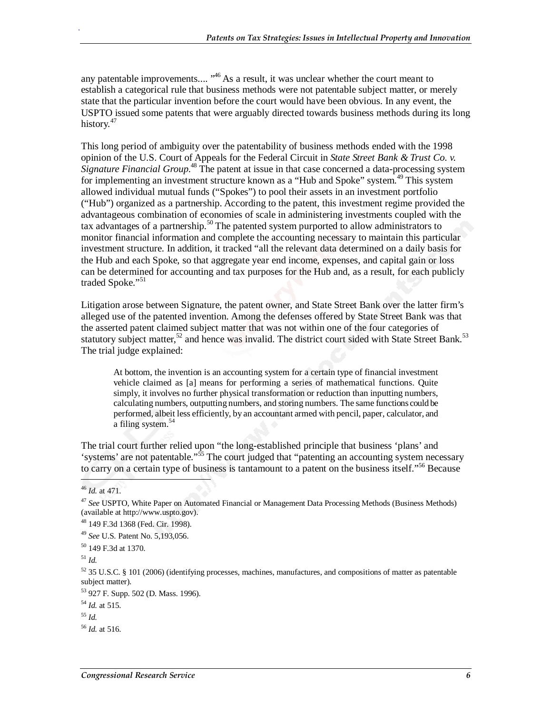any patentable improvements....  $146$  As a result, it was unclear whether the court meant to establish a categorical rule that business methods were not patentable subject matter, or merely state that the particular invention before the court would have been obvious. In any event, the USPTO issued some patents that were arguably directed towards business methods during its long history.<sup>47</sup>

This long period of ambiguity over the patentability of business methods ended with the 1998 opinion of the U.S. Court of Appeals for the Federal Circuit in *State Street Bank & Trust Co. v.*  Signature Financial Group.<sup>48</sup> The patent at issue in that case concerned a data-processing system for implementing an investment structure known as a "Hub and Spoke" system.<sup>49</sup> This system allowed individual mutual funds ("Spokes") to pool their assets in an investment portfolio ("Hub") organized as a partnership. According to the patent, this investment regime provided the advantageous combination of economies of scale in administering investments coupled with the tax advantages of a partnership.<sup>50</sup> The patented system purported to allow administrators to monitor financial information and complete the accounting necessary to maintain this particular investment structure. In addition, it tracked "all the relevant data determined on a daily basis for the Hub and each Spoke, so that aggregate year end income, expenses, and capital gain or loss can be determined for accounting and tax purposes for the Hub and, as a result, for each publicly traded Spoke."<sup>51</sup>

Litigation arose between Signature, the patent owner, and State Street Bank over the latter firm's alleged use of the patented invention. Among the defenses offered by State Street Bank was that the asserted patent claimed subject matter that was not within one of the four categories of statutory subject matter,<sup>52</sup> and hence was invalid. The district court sided with State Street Bank.<sup>53</sup> The trial judge explained:

At bottom, the invention is an accounting system for a certain type of financial investment vehicle claimed as [a] means for performing a series of mathematical functions. Quite simply, it involves no further physical transformation or reduction than inputting numbers, calculating numbers, outputting numbers, and storing numbers. The same functions could be performed, albeit less efficiently, by an accountant armed with pencil, paper, calculator, and a filing system.<sup>54</sup>

The trial court further relied upon "the long-established principle that business 'plans' and 'systems' are not patentable."55 The court judged that "patenting an accounting system necessary to carry on a certain type of business is tantamount to a patent on the business itself."<sup>56</sup> Because

<sup>46</sup> *Id.* at 471.

<sup>47</sup> *See* USPTO, White Paper on Automated Financial or Management Data Processing Methods (Business Methods) (available at http://www.uspto.gov).

<sup>48 149</sup> F.3d 1368 (Fed. Cir. 1998).

<sup>49</sup> *See* U.S. Patent No. 5,193,056.

<sup>50 149</sup> F.3d at 1370.

<sup>51</sup> *Id.*

 $52$  35 U.S.C. § 101 (2006) (identifying processes, machines, manufactures, and compositions of matter as patentable subject matter).

<sup>53 927</sup> F. Supp. 502 (D. Mass. 1996).

<sup>54</sup> *Id.* at 515.

<sup>55</sup> *Id.*

<sup>56</sup> *Id.* at 516.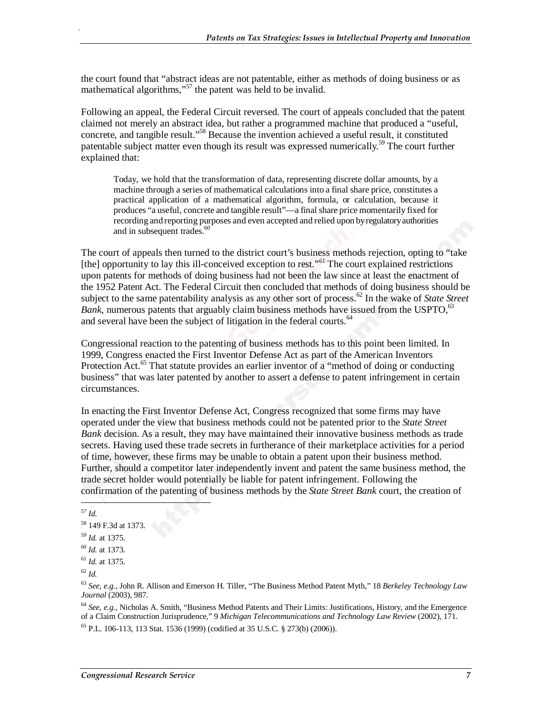the court found that "abstract ideas are not patentable, either as methods of doing business or as mathematical algorithms,"<sup>57</sup> the patent was held to be invalid.

Following an appeal, the Federal Circuit reversed. The court of appeals concluded that the patent claimed not merely an abstract idea, but rather a programmed machine that produced a "useful, concrete, and tangible result."58 Because the invention achieved a useful result, it constituted patentable subject matter even though its result was expressed numerically.<sup>59</sup> The court further explained that:

Today, we hold that the transformation of data, representing discrete dollar amounts, by a machine through a series of mathematical calculations into a final share price, constitutes a practical application of a mathematical algorithm, formula, or calculation, because it produces "a useful, concrete and tangible result"—a final share price momentarily fixed for recording and reporting purposes and even accepted and relied upon by regulatory authorities and in subsequent trades.<sup>60</sup>

The court of appeals then turned to the district court's business methods rejection, opting to "take [the] opportunity to lay this ill-conceived exception to rest."<sup>61</sup> The court explained restrictions upon patents for methods of doing business had not been the law since at least the enactment of the 1952 Patent Act. The Federal Circuit then concluded that methods of doing business should be subject to the same patentability analysis as any other sort of process.<sup>62</sup> In the wake of *State Street Bank*, numerous patents that arguably claim business methods have issued from the USPTO,  $63$ and several have been the subject of litigation in the federal courts.<sup>64</sup>

Congressional reaction to the patenting of business methods has to this point been limited. In 1999, Congress enacted the First Inventor Defense Act as part of the American Inventors Protection Act.<sup>65</sup> That statute provides an earlier inventor of a "method of doing or conducting business" that was later patented by another to assert a defense to patent infringement in certain circumstances.

In enacting the First Inventor Defense Act, Congress recognized that some firms may have operated under the view that business methods could not be patented prior to the *State Street Bank* decision. As a result, they may have maintained their innovative business methods as trade secrets. Having used these trade secrets in furtherance of their marketplace activities for a period of time, however, these firms may be unable to obtain a patent upon their business method. Further, should a competitor later independently invent and patent the same business method, the trade secret holder would potentially be liable for patent infringement. Following the confirmation of the patenting of business methods by the *State Street Bank* court, the creation of

<sup>57</sup> *Id.*

<u>.</u>

.

<sup>64</sup> *See, e.g.,* Nicholas A. Smith, "Business Method Patents and Their Limits: Justifications, History, and the Emergence of a Claim Construction Jurisprudence," 9 *Michigan Telecommunications and Technology Law Review* (2002), 171.

 $^{65}$  P.L. 106-113, 113 Stat. 1536 (1999) (codified at 35 U.S.C. § 273(b) (2006)).

<sup>58 149</sup> F.3d at 1373.

<sup>59</sup> *Id.* at 1375.

<sup>60</sup> *Id.* at 1373.

<sup>61</sup> *Id.* at 1375.

<sup>62</sup> *Id.*

<sup>63</sup> *See, e.g.,* John R. Allison and Emerson H. Tiller, "The Business Method Patent Myth," 18 *Berkeley Technology Law Journal* (2003), 987.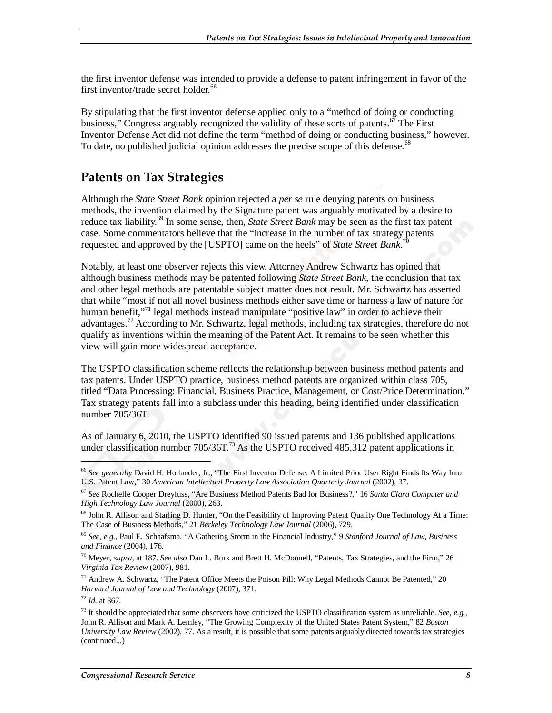the first inventor defense was intended to provide a defense to patent infringement in favor of the first inventor/trade secret holder.<sup>66</sup>

By stipulating that the first inventor defense applied only to a "method of doing or conducting business," Congress arguably recognized the validity of these sorts of patents.<sup>67</sup> The First Inventor Defense Act did not define the term "method of doing or conducting business," however. To date, no published judicial opinion addresses the precise scope of this defense.<sup>68</sup>

#### **Patents on Tax Strategies**

Although the *State Street Bank* opinion rejected a *per se* rule denying patents on business methods, the invention claimed by the Signature patent was arguably motivated by a desire to reduce tax liability.<sup>69</sup> In some sense, then, *State Street Bank* may be seen as the first tax patent case. Some commentators believe that the "increase in the number of tax strategy patents requested and approved by the [USPTO] came on the heels" of *State Street Bank*. 70

Notably, at least one observer rejects this view. Attorney Andrew Schwartz has opined that although business methods may be patented following *State Street Bank*, the conclusion that tax and other legal methods are patentable subject matter does not result. Mr. Schwartz has asserted that while "most if not all novel business methods either save time or harness a law of nature for human benefit,"<sup>71</sup> legal methods instead manipulate "positive law" in order to achieve their advantages.<sup>72</sup> According to Mr. Schwartz, legal methods, including tax strategies, therefore do not qualify as inventions within the meaning of the Patent Act. It remains to be seen whether this view will gain more widespread acceptance.

The USPTO classification scheme reflects the relationship between business method patents and tax patents. Under USPTO practice, business method patents are organized within class 705, titled "Data Processing: Financial, Business Practice, Management, or Cost/Price Determination." Tax strategy patents fall into a subclass under this heading, being identified under classification number 705/36T.

As of January 6, 2010, the USPTO identified 90 issued patents and 136 published applications under classification number  $705/36T$ .<sup>73</sup> As the USPTO received 485,312 patent applications in

1

<sup>66</sup> *See generally* David H. Hollander, Jr., "The First Inventor Defense: A Limited Prior User Right Finds Its Way Into U.S. Patent Law," 30 *American Intellectual Property Law Association Quarterly Journal* (2002), 37.

<sup>67</sup> *See* Rochelle Cooper Dreyfuss, "Are Business Method Patents Bad for Business?," 16 *Santa Clara Computer and High Technology Law Journal* (2000), 263.

<sup>&</sup>lt;sup>68</sup> John R. Allison and Starling D. Hunter, "On the Feasibility of Improving Patent Quality One Technology At a Time: The Case of Business Methods," 21 *Berkeley Technology Law Journal* (2006), 729.

<sup>69</sup> *See, e.g.,* Paul E. Schaafsma, "A Gathering Storm in the Financial Industry," 9 *Stanford Journal of Law, Business and Finance* (2004), 176.

<sup>70</sup> Meyer, *supra*, at 187. *See also* Dan L. Burk and Brett H. McDonnell, "Patents, Tax Strategies, and the Firm," 26 *Virginia Tax Review* (2007), 981.

<sup>71</sup> Andrew A. Schwartz, "The Patent Office Meets the Poison Pill: Why Legal Methods Cannot Be Patented," 20 *Harvard Journal of Law and Technology* (2007), 371.

<sup>72</sup> *Id.* at 367.

<sup>73</sup> It should be appreciated that some observers have criticized the USPTO classification system as unreliable. *See, e.g.,* John R. Allison and Mark A. Lemley, "The Growing Complexity of the United States Patent System," 82 *Boston University Law Review* (2002), 77. As a result, it is possible that some patents arguably directed towards tax strategies (continued...)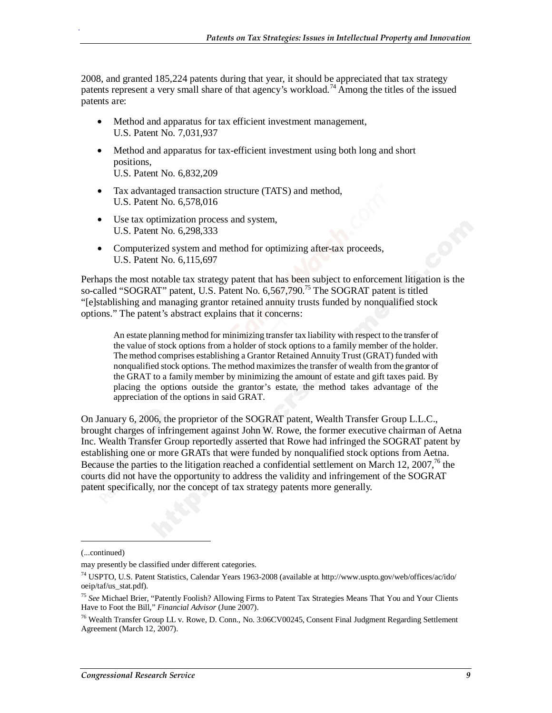2008, and granted 185,224 patents during that year, it should be appreciated that tax strategy patents represent a very small share of that agency's workload.<sup>74</sup> Among the titles of the issued patents are:

- Method and apparatus for tax efficient investment management, U.S. Patent No. 7,031,937
- Method and apparatus for tax-efficient investment using both long and short positions, U.S. Patent No. 6,832,209
- Tax advantaged transaction structure (TATS) and method, U.S. Patent No. 6,578,016
- Use tax optimization process and system, U.S. Patent No. 6,298,333
- Computerized system and method for optimizing after-tax proceeds, U.S. Patent No. 6,115,697

Perhaps the most notable tax strategy patent that has been subject to enforcement litigation is the so-called "SOGRAT" patent, U.S. Patent No. 6,567,790.<sup>75</sup> The SOGRAT patent is titled "[e]stablishing and managing grantor retained annuity trusts funded by nonqualified stock options." The patent's abstract explains that it concerns:

An estate planning method for minimizing transfer tax liability with respect to the transfer of the value of stock options from a holder of stock options to a family member of the holder. The method comprises establishing a Grantor Retained Annuity Trust (GRAT) funded with nonqualified stock options. The method maximizes the transfer of wealth from the grantor of the GRAT to a family member by minimizing the amount of estate and gift taxes paid. By placing the options outside the grantor's estate, the method takes advantage of the appreciation of the options in said GRAT.

On January 6, 2006, the proprietor of the SOGRAT patent, Wealth Transfer Group L.L.C., brought charges of infringement against John W. Rowe, the former executive chairman of Aetna Inc. Wealth Transfer Group reportedly asserted that Rowe had infringed the SOGRAT patent by establishing one or more GRATs that were funded by nonqualified stock options from Aetna. Because the parties to the litigation reached a confidential settlement on March 12, 2007,<sup>76</sup> the courts did not have the opportunity to address the validity and infringement of the SOGRAT patent specifically, nor the concept of tax strategy patents more generally.

1

<sup>(...</sup>continued)

may presently be classified under different categories.

<sup>74</sup> USPTO, U.S. Patent Statistics, Calendar Years 1963-2008 (available at http://www.uspto.gov/web/offices/ac/ido/ oeip/taf/us\_stat.pdf).

<sup>75</sup> *See* Michael Brier, "Patently Foolish? Allowing Firms to Patent Tax Strategies Means That You and Your Clients Have to Foot the Bill," *Financial Advisor* (June 2007).

<sup>76</sup> Wealth Transfer Group LL v. Rowe, D. Conn., No. 3:06CV00245, Consent Final Judgment Regarding Settlement Agreement (March 12, 2007).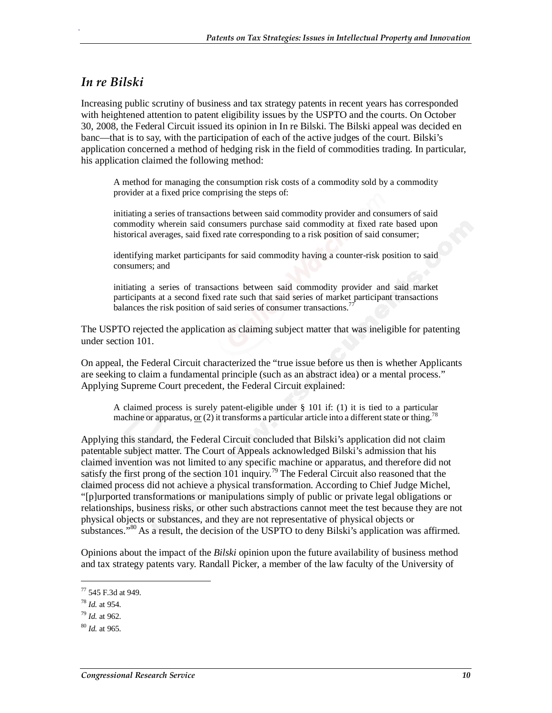#### *In re Bilski*

.

Increasing public scrutiny of business and tax strategy patents in recent years has corresponded with heightened attention to patent eligibility issues by the USPTO and the courts. On October 30, 2008, the Federal Circuit issued its opinion in In re Bilski. The Bilski appeal was decided en banc—that is to say, with the participation of each of the active judges of the court. Bilski's application concerned a method of hedging risk in the field of commodities trading. In particular, his application claimed the following method:

A method for managing the consumption risk costs of a commodity sold by a commodity provider at a fixed price comprising the steps of:

initiating a series of transactions between said commodity provider and consumers of said commodity wherein said consumers purchase said commodity at fixed rate based upon historical averages, said fixed rate corresponding to a risk position of said consumer;

identifying market participants for said commodity having a counter-risk position to said consumers; and

initiating a series of transactions between said commodity provider and said market participants at a second fixed rate such that said series of market participant transactions balances the risk position of said series of consumer transactions.<sup>7</sup>

The USPTO rejected the application as claiming subject matter that was ineligible for patenting under section 101.

On appeal, the Federal Circuit characterized the "true issue before us then is whether Applicants are seeking to claim a fundamental principle (such as an abstract idea) or a mental process." Applying Supreme Court precedent, the Federal Circuit explained:

A claimed process is surely patent-eligible under § 101 if: (1) it is tied to a particular machine or apparatus, or  $(2)$  it transforms a particular article into a different state or thing.<sup>78</sup>

Applying this standard, the Federal Circuit concluded that Bilski's application did not claim patentable subject matter. The Court of Appeals acknowledged Bilski's admission that his claimed invention was not limited to any specific machine or apparatus, and therefore did not satisfy the first prong of the section 101 inquiry.<sup>79</sup> The Federal Circuit also reasoned that the claimed process did not achieve a physical transformation. According to Chief Judge Michel, "[p]urported transformations or manipulations simply of public or private legal obligations or relationships, business risks, or other such abstractions cannot meet the test because they are not physical objects or substances, and they are not representative of physical objects or substances."<sup>80</sup> As a result, the decision of the USPTO to deny Bilski's application was affirmed.

Opinions about the impact of the *Bilski* opinion upon the future availability of business method and tax strategy patents vary. Randall Picker, a member of the law faculty of the University of

<u>.</u>

<sup>77 545</sup> F.3d at 949.

<sup>78</sup> *Id.* at 954.

<sup>79</sup> *Id.* at 962.

<sup>80</sup> *Id.* at 965.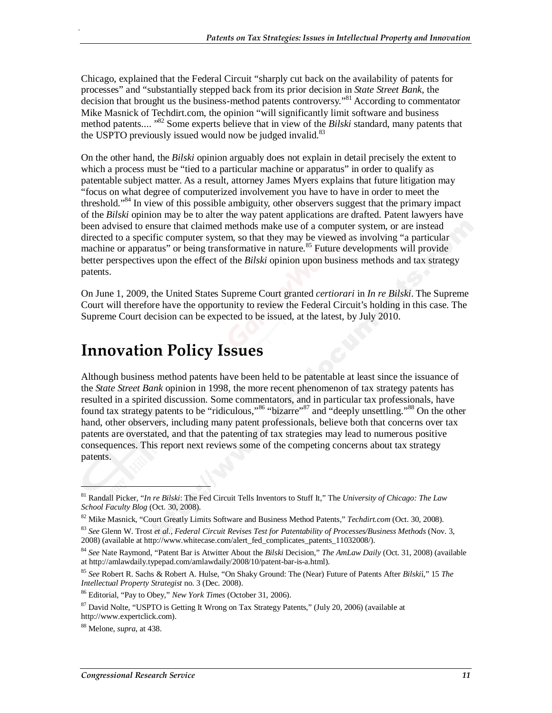Chicago, explained that the Federal Circuit "sharply cut back on the availability of patents for processes" and "substantially stepped back from its prior decision in *State Street Bank*, the decision that brought us the business-method patents controversy.<sup>81</sup> According to commentator Mike Masnick of Techdirt.com, the opinion "will significantly limit software and business method patents.... <sup>"82</sup> Some experts believe that in view of the *Bilski* standard, many patents that the USPTO previously issued would now be judged invalid. $83$ 

On the other hand, the *Bilski* opinion arguably does not explain in detail precisely the extent to which a process must be "tied to a particular machine or apparatus" in order to qualify as patentable subject matter. As a result, attorney James Myers explains that future litigation may "focus on what degree of computerized involvement you have to have in order to meet the threshold."<sup>84</sup> In view of this possible ambiguity, other observers suggest that the primary impact of the *Bilski* opinion may be to alter the way patent applications are drafted. Patent lawyers have been advised to ensure that claimed methods make use of a computer system, or are instead directed to a specific computer system, so that they may be viewed as involving "a particular machine or apparatus" or being transformative in nature.<sup>85</sup> Future developments will provide better perspectives upon the effect of the *Bilski* opinion upon business methods and tax strategy patents.

On June 1, 2009, the United States Supreme Court granted *certiorari* in *In re Bilski*. The Supreme Court will therefore have the opportunity to review the Federal Circuit's holding in this case. The Supreme Court decision can be expected to be issued, at the latest, by July 2010.

### **Innovation Policy Issues**

Although business method patents have been held to be patentable at least since the issuance of the *State Street Bank* opinion in 1998, the more recent phenomenon of tax strategy patents has resulted in a spirited discussion. Some commentators, and in particular tax professionals, have found tax strategy patents to be "ridiculous,"<sup>86</sup> "bizarre"<sup>87</sup> and "deeply unsettling."<sup>88</sup> On the other hand, other observers, including many patent professionals, believe both that concerns over tax patents are overstated, and that the patenting of tax strategies may lead to numerous positive consequences. This report next reviews some of the competing concerns about tax strategy patents.

**.** 

<sup>81</sup> Randall Picker, "*In re Bilski*: The Fed Circuit Tells Inventors to Stuff It," The *University of Chicago: The Law School Faculty Blog* (Oct. 30, 2008).

<sup>82</sup> Mike Masnick, "Court Greatly Limits Software and Business Method Patents," *Techdirt.com* (Oct. 30, 2008).

<sup>83</sup> *See* Glenn W. Trost *et al.*, *Federal Circuit Revises Test for Patentability of Processes/Business Methods* (Nov. 3, 2008) (available at http://www.whitecase.com/alert\_fed\_complicates\_patents\_11032008/).

<sup>84</sup> *See* Nate Raymond, "Patent Bar is Atwitter About the *Bilski* Decision," *The AmLaw Daily* (Oct. 31, 2008) (available at http://amlawdaily.typepad.com/amlawdaily/2008/10/patent-bar-is-a.html).

<sup>85</sup> *See* Robert R. Sachs & Robert A. Hulse, "On Shaky Ground: The (Near) Future of Patents After *Bilski*í," 15 *The Intellectual Property Strategist* no. 3 (Dec. 2008).

<sup>86</sup> Editorial, "Pay to Obey," *New York Times* (October 31, 2006).

<sup>87</sup> David Nolte, "USPTO is Getting It Wrong on Tax Strategy Patents," (July 20, 2006) (available at http://www.expertclick.com).

<sup>88</sup> Melone, *supra*, at 438.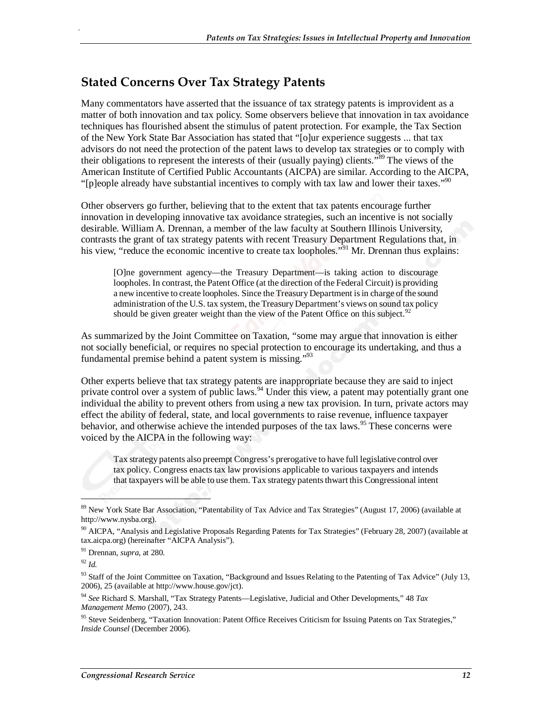#### **Stated Concerns Over Tax Strategy Patents**

Many commentators have asserted that the issuance of tax strategy patents is improvident as a matter of both innovation and tax policy. Some observers believe that innovation in tax avoidance techniques has flourished absent the stimulus of patent protection. For example, the Tax Section of the New York State Bar Association has stated that "[o]ur experience suggests ... that tax advisors do not need the protection of the patent laws to develop tax strategies or to comply with their obligations to represent the interests of their (usually paying) clients.<sup>589</sup> The views of the American Institute of Certified Public Accountants (AICPA) are similar. According to the AICPA, "[p]eople already have substantial incentives to comply with tax law and lower their taxes."<sup>90</sup>

Other observers go further, believing that to the extent that tax patents encourage further innovation in developing innovative tax avoidance strategies, such an incentive is not socially desirable. William A. Drennan, a member of the law faculty at Southern Illinois University, contrasts the grant of tax strategy patents with recent Treasury Department Regulations that, in his view, "reduce the economic incentive to create tax loopholes."<sup>91</sup> Mr. Drennan thus explains:

[O]ne government agency—the Treasury Department—is taking action to discourage loopholes. In contrast, the Patent Office (at the direction of the Federal Circuit) is providing a new incentive to create loopholes. Since the Treasury Department is in charge of the sound administration of the U.S. tax system, the Treasury Department's views on sound tax policy should be given greater weight than the view of the Patent Office on this subject. $92$ 

As summarized by the Joint Committee on Taxation, "some may argue that innovation is either not socially beneficial, or requires no special protection to encourage its undertaking, and thus a fundamental premise behind a patent system is missing."93

Other experts believe that tax strategy patents are inappropriate because they are said to inject private control over a system of public laws.<sup>94</sup> Under this view, a patent may potentially grant one individual the ability to prevent others from using a new tax provision. In turn, private actors may effect the ability of federal, state, and local governments to raise revenue, influence taxpayer behavior, and otherwise achieve the intended purposes of the tax laws.<sup>95</sup> These concerns were voiced by the AICPA in the following way:

Tax strategy patents also preempt Congress's prerogative to have full legislative control over tax policy. Congress enacts tax law provisions applicable to various taxpayers and intends that taxpayers will be able to use them. Tax strategy patents thwart this Congressional intent

1

<sup>&</sup>lt;sup>89</sup> New York State Bar Association, "Patentability of Tax Advice and Tax Strategies" (August 17, 2006) (available at http://www.nysba.org).

<sup>&</sup>lt;sup>90</sup> AICPA, "Analysis and Legislative Proposals Regarding Patents for Tax Strategies" (February 28, 2007) (available at tax.aicpa.org) (hereinafter "AICPA Analysis").

<sup>91</sup> Drennan, *supra*, at 280.

<sup>92</sup> *Id.*

<sup>93</sup> Staff of the Joint Committee on Taxation, "Background and Issues Relating to the Patenting of Tax Advice" (July 13, 2006), 25 (available at http://www.house.gov/jct).

<sup>94</sup> *See* Richard S. Marshall, "Tax Strategy Patents—Legislative, Judicial and Other Developments," 48 *Tax Management Memo* (2007), 243.

<sup>&</sup>lt;sup>95</sup> Steve Seidenberg, "Taxation Innovation: Patent Office Receives Criticism for Issuing Patents on Tax Strategies," *Inside Counsel* (December 2006).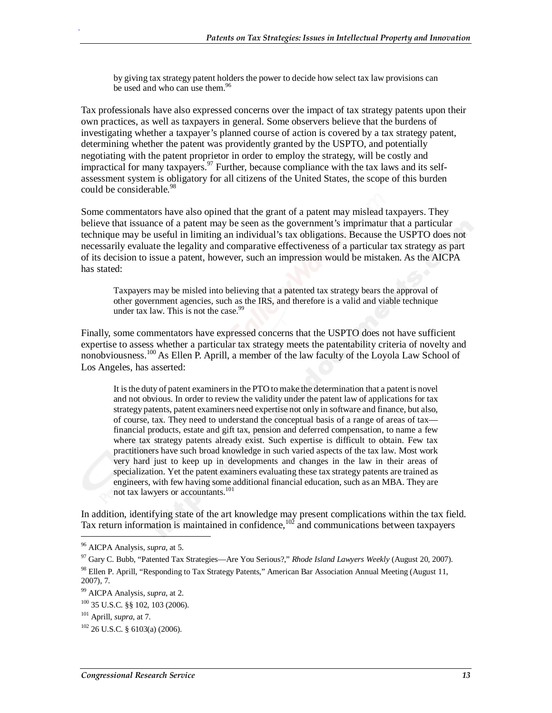by giving tax strategy patent holders the power to decide how select tax law provisions can be used and who can use them.<sup>96</sup>

Tax professionals have also expressed concerns over the impact of tax strategy patents upon their own practices, as well as taxpayers in general. Some observers believe that the burdens of investigating whether a taxpayer's planned course of action is covered by a tax strategy patent, determining whether the patent was providently granted by the USPTO, and potentially negotiating with the patent proprietor in order to employ the strategy, will be costly and impractical for many taxpayers.<sup>97</sup> Further, because compliance with the tax laws and its selfassessment system is obligatory for all citizens of the United States, the scope of this burden could be considerable.<sup>98</sup>

Some commentators have also opined that the grant of a patent may mislead taxpayers. They believe that issuance of a patent may be seen as the government's imprimatur that a particular technique may be useful in limiting an individual's tax obligations. Because the USPTO does not necessarily evaluate the legality and comparative effectiveness of a particular tax strategy as part of its decision to issue a patent, however, such an impression would be mistaken. As the AICPA has stated:

Taxpayers may be misled into believing that a patented tax strategy bears the approval of other government agencies, such as the IRS, and therefore is a valid and viable technique under tax law. This is not the case. $99$ 

Finally, some commentators have expressed concerns that the USPTO does not have sufficient expertise to assess whether a particular tax strategy meets the patentability criteria of novelty and nonobviousness.<sup>100</sup> As Ellen P. Aprill, a member of the law faculty of the Loyola Law School of Los Angeles, has asserted:

It is the duty of patent examiners in the PTO to make the determination that a patent is novel and not obvious. In order to review the validity under the patent law of applications for tax strategy patents, patent examiners need expertise not only in software and finance, but also, of course, tax. They need to understand the conceptual basis of a range of areas of tax financial products, estate and gift tax, pension and deferred compensation, to name a few where tax strategy patents already exist. Such expertise is difficult to obtain. Few tax practitioners have such broad knowledge in such varied aspects of the tax law. Most work very hard just to keep up in developments and changes in the law in their areas of specialization. Yet the patent examiners evaluating these tax strategy patents are trained as engineers, with few having some additional financial education, such as an MBA. They are not tax lawyers or accountants.101

In addition, identifying state of the art knowledge may present complications within the tax field. Tax return information is maintained in confidence,  $102$  and communications between taxpayers

<sup>96</sup> AICPA Analysis, *supra*, at 5.

<sup>97</sup> Gary C. Bubb, "Patented Tax Strategies—Are You Serious?," *Rhode Island Lawyers Weekly* (August 20, 2007). 98 Ellen P. Aprill, "Responding to Tax Strategy Patents," American Bar Association Annual Meeting (August 11,

<sup>2007), 7.</sup> 

<sup>99</sup> AICPA Analysis, *supra*, at 2.

<sup>100 35</sup> U.S.C. §§ 102, 103 (2006).

<sup>101</sup> Aprill, *supra*, at 7.

<sup>102 26</sup> U.S.C. § 6103(a) (2006).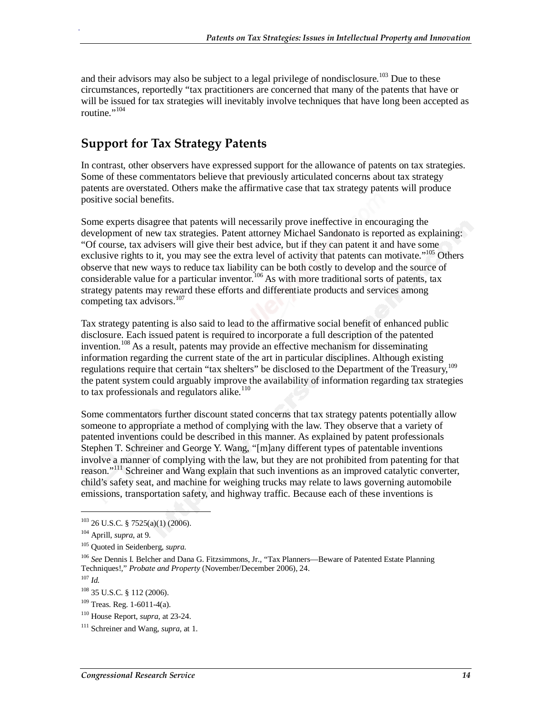and their advisors may also be subject to a legal privilege of nondisclosure.<sup>103</sup> Due to these circumstances, reportedly "tax practitioners are concerned that many of the patents that have or will be issued for tax strategies will inevitably involve techniques that have long been accepted as routine. $\cdot$ <sup>104</sup>

#### **Support for Tax Strategy Patents**

In contrast, other observers have expressed support for the allowance of patents on tax strategies. Some of these commentators believe that previously articulated concerns about tax strategy patents are overstated. Others make the affirmative case that tax strategy patents will produce positive social benefits.

Some experts disagree that patents will necessarily prove ineffective in encouraging the development of new tax strategies. Patent attorney Michael Sandonato is reported as explaining: "Of course, tax advisers will give their best advice, but if they can patent it and have some exclusive rights to it, you may see the extra level of activity that patents can motivate."<sup>105</sup> Others observe that new ways to reduce tax liability can be both costly to develop and the source of considerable value for a particular inventor.<sup>106</sup> As with more traditional sorts of patents, tax strategy patents may reward these efforts and differentiate products and services among competing tax advisors. $107$ 

Tax strategy patenting is also said to lead to the affirmative social benefit of enhanced public disclosure. Each issued patent is required to incorporate a full description of the patented invention.<sup>108</sup> As a result, patents may provide an effective mechanism for disseminating information regarding the current state of the art in particular disciplines. Although existing regulations require that certain "tax shelters" be disclosed to the Department of the Treasury,<sup>109</sup> the patent system could arguably improve the availability of information regarding tax strategies to tax professionals and regulators alike. $110$ 

Some commentators further discount stated concerns that tax strategy patents potentially allow someone to appropriate a method of complying with the law. They observe that a variety of patented inventions could be described in this manner. As explained by patent professionals Stephen T. Schreiner and George Y. Wang, "[m]any different types of patentable inventions involve a manner of complying with the law, but they are not prohibited from patenting for that reason."<sup>111</sup> Schreiner and Wang explain that such inventions as an improved catalytic converter, child's safety seat, and machine for weighing trucks may relate to laws governing automobile emissions, transportation safety, and highway traffic. Because each of these inventions is

1

 $103$  26 U.S.C. § 7525(a)(1) (2006).

<sup>104</sup> Aprill, *supra*, at 9.

<sup>105</sup> Quoted in Seidenberg, *supra*.

<sup>106</sup> *See* Dennis I. Belcher and Dana G. Fitzsimmons, Jr., "Tax Planners—Beware of Patented Estate Planning Techniques!," *Probate and Property* (November/December 2006), 24.

<sup>107</sup> *Id.*

<sup>108 35</sup> U.S.C. § 112 (2006).

<sup>109</sup> Treas. Reg. 1-6011-4(a).

<sup>110</sup> House Report, *supra*, at 23-24.

<sup>111</sup> Schreiner and Wang, *supra,* at 1.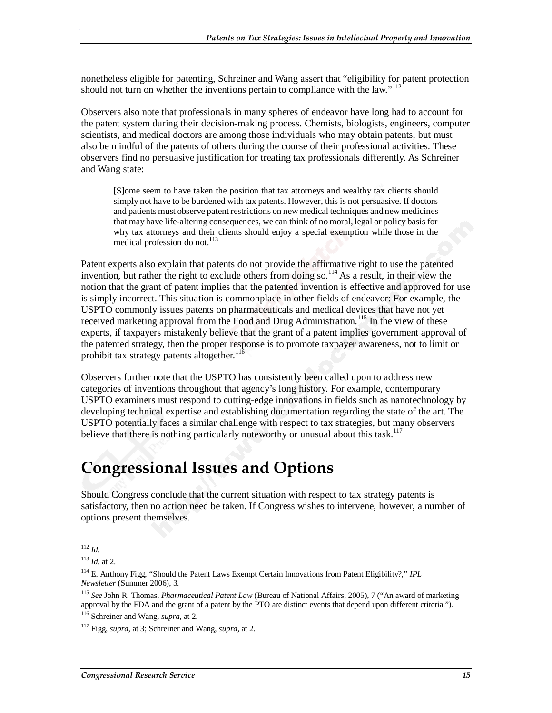nonetheless eligible for patenting, Schreiner and Wang assert that "eligibility for patent protection should not turn on whether the inventions pertain to compliance with the law."<sup>112</sup>

Observers also note that professionals in many spheres of endeavor have long had to account for the patent system during their decision-making process. Chemists, biologists, engineers, computer scientists, and medical doctors are among those individuals who may obtain patents, but must also be mindful of the patents of others during the course of their professional activities. These observers find no persuasive justification for treating tax professionals differently. As Schreiner and Wang state:

[S]ome seem to have taken the position that tax attorneys and wealthy tax clients should simply not have to be burdened with tax patents. However, this is not persuasive. If doctors and patients must observe patent restrictions on new medical techniques and new medicines that may have life-altering consequences, we can think of no moral, legal or policy basis for why tax attorneys and their clients should enjoy a special exemption while those in the medical profession do not.<sup>113</sup>

Patent experts also explain that patents do not provide the affirmative right to use the patented invention, but rather the right to exclude others from doing so.<sup>114</sup> As a result, in their view the notion that the grant of patent implies that the patented invention is effective and approved for use is simply incorrect. This situation is commonplace in other fields of endeavor: For example, the USPTO commonly issues patents on pharmaceuticals and medical devices that have not yet received marketing approval from the Food and Drug Administration.<sup>115</sup> In the view of these experts, if taxpayers mistakenly believe that the grant of a patent implies government approval of the patented strategy, then the proper response is to promote taxpayer awareness, not to limit or prohibit tax strategy patents altogether.<sup>116</sup>

Observers further note that the USPTO has consistently been called upon to address new categories of inventions throughout that agency's long history. For example, contemporary USPTO examiners must respond to cutting-edge innovations in fields such as nanotechnology by developing technical expertise and establishing documentation regarding the state of the art. The USPTO potentially faces a similar challenge with respect to tax strategies, but many observers believe that there is nothing particularly noteworthy or unusual about this task.<sup>117</sup>

### **Congressional Issues and Options**

Should Congress conclude that the current situation with respect to tax strategy patents is satisfactory, then no action need be taken. If Congress wishes to intervene, however, a number of options present themselves.

<u>.</u>

<sup>112</sup> *Id.*

<sup>113</sup> *Id.* at 2.

<sup>114</sup> E. Anthony Figg, "Should the Patent Laws Exempt Certain Innovations from Patent Eligibility?," *IPL Newsletter* (Summer 2006), 3.

<sup>115</sup> *See* John R. Thomas, *Pharmaceutical Patent Law* (Bureau of National Affairs, 2005), 7 ("An award of marketing approval by the FDA and the grant of a patent by the PTO are distinct events that depend upon different criteria.").

<sup>116</sup> Schreiner and Wang, *supra,* at 2.

<sup>117</sup> Figg, *supra*, at 3; Schreiner and Wang, *supra,* at 2.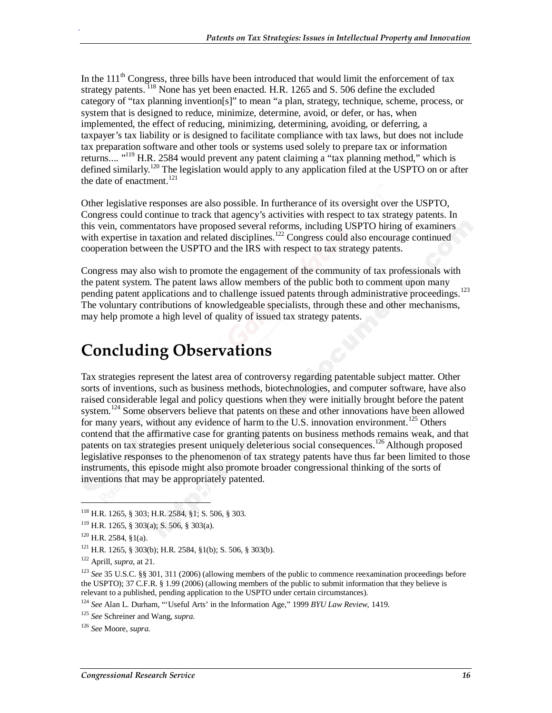In the  $111<sup>th</sup>$  Congress, three bills have been introduced that would limit the enforcement of tax strategy patents. <sup>118</sup> None has yet been enacted. H.R. 1265 and S. 506 define the excluded category of "tax planning invention[s]" to mean "a plan, strategy, technique, scheme, process, or system that is designed to reduce, minimize, determine, avoid, or defer, or has, when implemented, the effect of reducing, minimizing, determining, avoiding, or deferring, a taxpayer's tax liability or is designed to facilitate compliance with tax laws, but does not include tax preparation software and other tools or systems used solely to prepare tax or information returns.... "<sup>119</sup> H.R. 2584 would prevent any patent claiming a "tax planning method," which is defined similarly.<sup>120</sup> The legislation would apply to any application filed at the USPTO on or after the date of enactment.<sup>121</sup>

Other legislative responses are also possible. In furtherance of its oversight over the USPTO, Congress could continue to track that agency's activities with respect to tax strategy patents. In this vein, commentators have proposed several reforms, including USPTO hiring of examiners with expertise in taxation and related disciplines.<sup>122</sup> Congress could also encourage continued cooperation between the USPTO and the IRS with respect to tax strategy patents.

Congress may also wish to promote the engagement of the community of tax professionals with the patent system. The patent laws allow members of the public both to comment upon many pending patent applications and to challenge issued patents through administrative proceedings.<sup>123</sup> The voluntary contributions of knowledgeable specialists, through these and other mechanisms, may help promote a high level of quality of issued tax strategy patents.

### **Concluding Observations**

Tax strategies represent the latest area of controversy regarding patentable subject matter. Other sorts of inventions, such as business methods, biotechnologies, and computer software, have also raised considerable legal and policy questions when they were initially brought before the patent system.<sup>124</sup> Some observers believe that patents on these and other innovations have been allowed for many years, without any evidence of harm to the U.S. innovation environment.<sup>125</sup> Others contend that the affirmative case for granting patents on business methods remains weak, and that patents on tax strategies present uniquely deleterious social consequences.<sup>126</sup> Although proposed legislative responses to the phenomenon of tax strategy patents have thus far been limited to those instruments, this episode might also promote broader congressional thinking of the sorts of inventions that may be appropriately patented.

<u>.</u>

<sup>118</sup> H.R. 1265, § 303; H.R. 2584, §1; S. 506, § 303.

<sup>119</sup> H.R. 1265, § 303(a); S. 506, § 303(a).

<sup>120</sup> H.R. 2584, §1(a).

<sup>121</sup> H.R. 1265, § 303(b); H.R. 2584, §1(b); S. 506, § 303(b).

<sup>122</sup> Aprill, *supra*, at 21.

<sup>123</sup> *See* 35 U.S.C. §§ 301, 311 (2006) (allowing members of the public to commence reexamination proceedings before the USPTO); 37 C.F.R. § 1.99 (2006) (allowing members of the public to submit information that they believe is relevant to a published, pending application to the USPTO under certain circumstances).

<sup>124</sup> *See* Alan L. Durham, "'Useful Arts' in the Information Age," 1999 *BYU Law Review*, 1419.

<sup>125</sup> *See* Schreiner and Wang, *supra*.

<sup>126</sup> *See* Moore, *supra*.